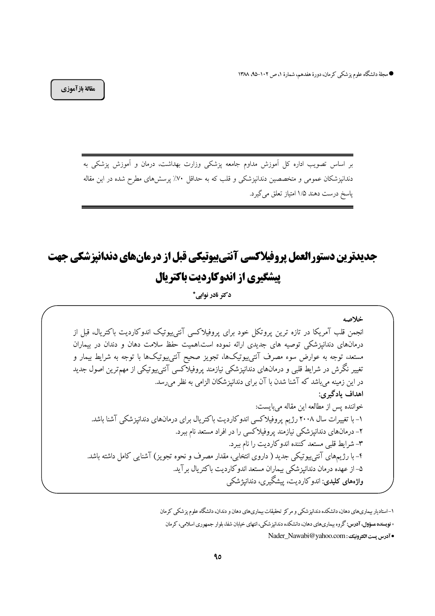● مجلهٔ دانشگاه علوم پزشکمی کرمان، دورهٔ هفدهم، شمارهٔ ۱، ص ۱۰۲–۹۵، ۱۳۸۸

مقالة بازآموزي

بر اساس تصویب اداره کل آموزش مداوم جامعه پزشکی وزارت بهداشت، درمان و آموزش پزشکی به دندانپزشکان عمومی و متخصصین دندانپزشکی و قلب که به حداقل ۷۰٪ پرسشهای مطرح شده در این مقاله پاسخ درست دهند ۱/۵ امتیاز تعلق می گیرد.

# جدیدترین دستورالعمل پروفیلاکسی آنتیبیوتیکی قبل از درمانهای دندانیزشکی جهت **پیشگیری از اندوکاردیت باکتریال**

دکتر نادر نوابے \*

خلاصه انجمن قلب آمریکا در تازه ترین پروتکل خود برای پروفیلاکسی آنتی بیوتیک اندوکاردیت باکتریال، قبل از درمانهای دندانیزشکی توصیه های جدیدی ارائه نموده است.اهمیت حفظ سلامت دهان و دندان در بیماران مستعد، توجه به عوارض سوء مصرف آنتی بیوتیکها، تجویز صحیح آنتی پیوتیکها با توجه به شرایط بیمار و تغییر نگرش در شرایط قلبی و درمانهای دندانپزشکی نیازمند پروفیلاکسی آنتی،یوتیکی از مهمترین اصول جدید در این زمینه می باشد که آشنا شدن با آن برای دندانیزشکان الزامی به نظر می رسد. اهداف يادگيري: خواننده پس از مطالعه این مقاله می بایست: ۱– با تغییرات سال ۲۰۰۸ رژیم پروفیلاکسی اندوکاردیت باکتریال برای درمانهای دندانپزشکی آشنا باشد. ۲– درمانهای دندانیزشکی نیازمند پروفیلاکسی را در افراد مستعد نام ببرد. ٣- شرايط قلبي مستعد كننده اندوكارديت را نام ببرد. ۴– با رژیمهای آنتی پیوتیکی جدید ( داروی انتخابی، مقدار مصرف و نحوه تجویز) آشنایی کامل داشته باشد. ۵– از عهده درمان دندانیز شکی بیماران مستعد اندوکاردیت باکتریال بر آید. واژههای کلیدی: اندوکاردیت، پیشگیری، دندانیژشکی

۱–استادیار بیماریهای دهان، دانشکده دندانپزشکی و مرکز تحقیقات بیماریهای دهان و دندان، دانشگاه علوم پزشکی کرمان \* فویسنده مسؤول، آدرس: گروه بیماریهای دهان، دانشکده دندانپزشکی، انتهای خیابان شفا، بلوار جمهوری اسلامی، کرمان • آدرس يست الكترونيك: Nader\_Nawabi@yahoo.com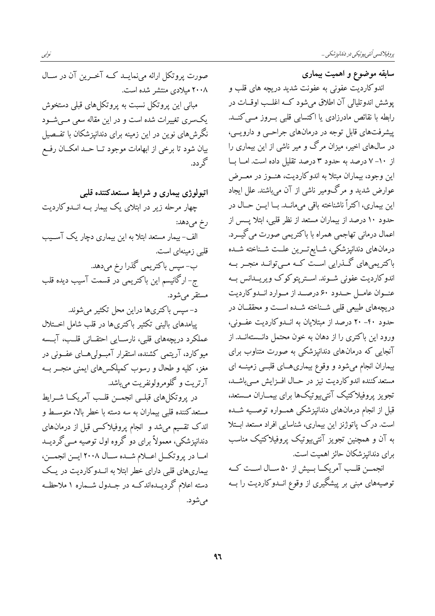سابقه موضوع و اهمیت بیماری

اندوکاردیت عفونی به عفونت شدید دریچه های قلب و پوشش اندوتلیالی آن اطلاق میشود که اغلـب اوقـات در رابطه با نقائص مادرزادی یا اکتسابی قلبی بـروز مـی کنــد. پیشرفتهای قابل توجه در درمانهای جراحبی و دارویبی، در سال@ای اخیر، میزان مرگ و میر ناشی از این بیماری را از ۱۰–۷ درصد به حدود ۳ درصد تقلیل داده است. امــا بــا این وجود، بیماران مبتلا به اندوکاردیت، هنــوز در معــرض عوارض شدید و مرگومیر ناشی از آن میباشند. علل ایجاد اين بيماري، اكثراً ناشناخته باقي مي مانــد. بــا ايـــن حــال در حدود ١٠ درصد از بيماران مستعد از نظر قلبي، ابتلا يــس از اعمال درمانی تهاجمی همراه با باکتریمی صورت میگیــرد. درمانهای دندانپزشکی، شــایع تـــرین علــت شــناخته شــده باکتریمیهای گـذرایی اسـت کـه مـیتوانــد منجــر بــه اندوکاردیت عفونی شــوند. اســترپتوکوک ویریــدانس بــه عنوان عامل حدود ۶۰ درصد از موارد اندو کاردیت دریچههای طبیعی قلبی شـناخته شـده اسـت و محققــان در حدود ۴۰– ۲۰ درصد از مبتلایان به انــدوکاردیت عفــونی، ورود این باکتری را از دهان به خون محتمل دانـستهانــد. از آنجایی که درمانهای دندانپزشکی به صورت متناوب برای بیماران انجام میشود و وقوع بیماری هـای قلبــی زمینــه ای مستعدكننده اندوكارديت نيز در حـال افــزايش مــىباشــد، تجويز يروفيلاكتيك آنتي بيوتيكها براي بيمــاران مــستعد، قبل از انجام درمانهای دندانپزشکی همــواره توصــیه شــده است. درک پاتوژنز این بیماری، شناسایی افراد مستعد ابتلا به آن و همچنین تجویز آنتی بیوتیک پروفیلاکتیک مناسب برای دندانیز شکان حائز اهمیت است.

انجمــن قلــب آمريكــا بــيش از ۵۰ ســال اســت كــه توصیههای مبنی بر پیشگیری از وقوع انــدوکاردیت را بــه

صورت پروتکل ارائه مینمایــد کــه آخــرین آن در ســال ۲۰۰۸ میلادی منتشر شده است. مبانی این پروتکل نسبت به پروتکلهای قبلی دستخوش یکسری تغییرات شده است و در این مقاله سعی مے شـود نگرشهای نوین در این زمینه برای دندانیزشکان با تفــصیل بیان شود تا برخی از ابهامات موجود تــا حــد امکــان رفــع گر دد.

اتیولوژی بیماری و شرایط مستعدکننده قلبی چهار مرحله زیر در ابتلای یک بیمار بــه انــدوکاردیت رخ ميدهد: الف-بیمار مستعد ابتلا به این بیماری دچار یک آســیب قلبي زمينهاي است. ب-سپس باکتریمی گذرا رخ میدهد. ج- ارگانیسم این باکتریمی در قسمت آسیب دیده قلب مستقر می شو د. د-سیس باکتریها دراین محل تکثیر می شوند. پیامدهای بالینی تکثیر باکتریها در قلب شامل اخــتلال عملکرد دریچههای قلبی، نارسـایی احتقــانی قلــب، آبــسه میوکارد، آریتمی کشنده، استقرار آمبولی هــای عفــونی در مغز، کلیه و طحال و رسوب کمپلکسهای ایمنی منجــر بــه آرتریت و گلومرولونفریت می باشد. در يروتكلهاي قبلــي انجمــن قلــب آمريكــا شــرايط مستعدكننده قلبي بيماران به سه دسته با خطر بالا، متوسـط و اندک تقسیم میشد و انجام پروفیلاکسی قبل از درمانهای دندانپزشکی، معمولاً برای دو گروه اول توصیه مــی گردیــد امــا در پروتكــل اعـــلام شــده ســال ٢٠٠٨ ايــن انجمــن، بیماریهای قلبی دارای خطر ابتلا به انــدوکاردیت در یــک دسته اعلام گردیــدهاندکــه در جــدول شــماره ۱ ملاحظــه مے شو د.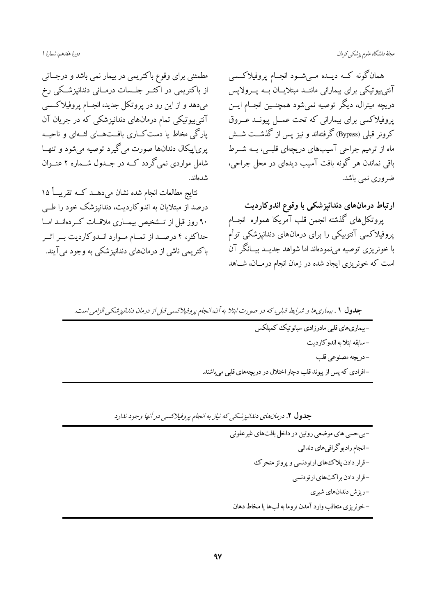مطمئنی برای وقوع باکتریمی در بیمار نمی باشد و درجـاتی از باکتریمی در اکثــر جلــسات درمــانی دندانپزشــکی رخ میدهد و از این رو در پروتکل جدید، انجـام پروفیلاکـسی آنتی پیوتیکی تمام درمانهای دندانیزشکی که در جریان آن یارگی مخاط یا دست کــاری بافــتهــای لشـهای و ناحیــه یریاییکال دندانها صورت میگیرد توصیه میشود و تنهـا .<br>شامل مواردی نمی گردد کــه در جــدول شــماره ۲ عنــوان شدهاند.

نتايج مطالعات انجام شده نشان مىدهــد كــه تقريبــاً ۱۵ درصد از مبتلایان به اندوکاردیت، دندانیزشک خود را طـبی ۹۰ روز قبل از تـــشخیص بیمـــاری ملاقــات کـــردهانـــد امــا حداکثر، ۴ درصـد از تمــام مــوارد انــدوکاردیت بــر اثــر باکتریمی ناشی از درمانهای دندانیزشکی به وجود می آیند. همانگونه کــه دیــده مــیشــود انجــام پروفیلاکــسی آنتی پیوتیکی برای بیمارانی ماننــد مبتلایــان بــه پــرولاپس دریچه میترال، دیگر توصیه نمیشود همچنــین انجــام ایــن یروفیلاکسی برای بیمارانی که تحت عمــل پیونــد عــروق كرونر قبلي (Bypass) گرفتهاند و نيز پس از گذشــت شــش .<br>ماه از ترمیم جراحی آسیبهای دریچهای قلبــی، بــه شـــرط .<br>باقی نماندن هر گونه بافت آسیب دیدهای در محل جراحی، ضروري نمي باشد.

ارتباط درمانهای دندانپزشکی با وقوع اندوکاردیت پروتکلهای گذشته انجمن قلب آمریکا همواره انجــام پروفیلاکسی آنتوبیکی را برای درمانهای دندانپزشکی توأم با خونریزی توصیه مینمودهاند اما شواهد جدیــد بیــانگر آن است که خونریزی ایجاد شده در زمان انجام درمــان، شــاهد

| جدول ۱. بیماری ها و شرایط قبلی، که در صورت ابتلا به آن، انجام پروفیلاکسی قبل از درمان دندانپزشکی الزامی است. |
|--------------------------------------------------------------------------------------------------------------|
| –بیماریهای قلبی مادرزادی سیانوتیک کمپلکس                                                                     |
| -سابقه ابتلابه اندوكارديت                                                                                    |
| -دريچه مصنوعي قلب                                                                                            |
| –افرادي كه پس از پيوند قلب دچار اختلال در دريچههاي قلبي ميباشند.                                             |

جدول ۲. درمان های دندانیز شکی که نیاز به انجام پروفیلاکسی در آنها وجود ندارد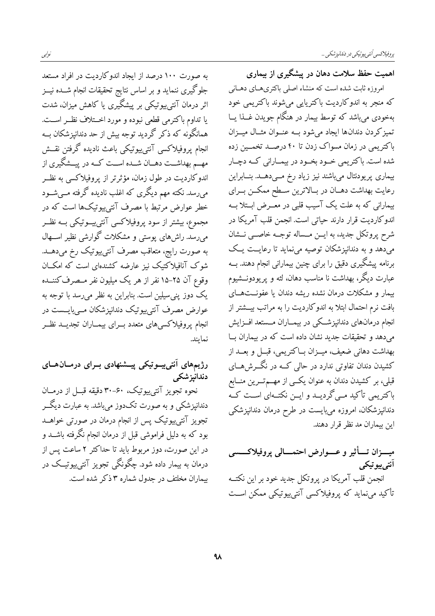به صورت ۱۰۰ درصد از ایجاد اندوکاردیت در افراد مستعد جلوگیری ننماید و بر اساس نتایج تحقیقات انجام شــده نیــز اثر درمان آنتی،بیوتیکی بر پیشگیری یا کاهش میزان، شدت يا تداوم باكترمي قطعي نبوده و مورد اخــتلاف نظــر اســت. همانگونه که ذکر گردید توجه بیش از حد دندانپزشکان بــه انجام پروفیلاکسی آنتی $_{\rm g}$ تیکی باعث نادیده گرفتن نقــش مهــم بهداشــت دهــان شــده اســت كــه در پيــشگيري از اندوکاردیت در طول زمان، مؤثرتر از پروفیلاکسی به نظــر میرسد. نکته مهم دیگری که اغلب نادیده گرفته مــیشــود .<br>خطر عوارض مرتبط با مصرف آنتیبیوتیکها است که در مجموع، بیشتر از سود پروفیلاکسی آنتی $\mathbb L$ یبوتیکی بــه نظــر میرسد. راشهای پوستی و مشکلات گوارشی نظیر اســهال به صورت رایج، متعاقب مصرف آنتیبیوتیک رخ میدهــد. شوک آنافیلاکتیک نیز عارضه کشندهای است که امکــان وقوع آن ۲۵-۱۵ نفر از هر یک میلیون نفر مــصرف کننــده یک دوز پنی سیلین است. بنابراین به نظر میرسد با توجه به عوارض مصرف آنتی پیوتیک دندانیزشکان مــی بایــست در انجام يروفيلاكسي هاى متعدد بــراي بيمــاران تجديــد نظــر نمايند.

### رژیمهای آنتی پیوتیکی پیشنهادی بـرای درمـانهـای دندانيز شكى

نحوه تجویز آنتیپیوتیک، ۴۰-۳۰ دقیقه قبـل از درمــان دندانپزشکی و به صورت تکدوز میباشد. به عبارت دیگــر تجویز آنتی $_{\rm L}$ یوتیک پس از انجام درمان در صورتی خواهــد بود که به دلیل فراموشی قبل از درمان انجام نگرفته باشــد و در این صورت، دوز مربوط باید تا حداکثر ۲ ساعت پس از درمان به بیمار داده شود. چگونگی تجویز آنتی $\mathfrak{g}$ یوتیـک در بیماران مخلتف در جدول شماره ۳ ذکر شده است. اهمیت حفظ سلامت دهان در پیشگیری از بیماری

امروزه ثابت شده است که منشاء اصلی باکتریهـای دهــانی که منجر به اندوکاردیت باکتریایی میشوند باکتریمی خود بهخودی میباشد که توسط بیمار در هنگام جویدن غــذا یــا تمیز کردن دندانها ایجاد میشود بـه عنــوان مثــال میــزان باکتریمی در زمان مسواک زدن تا ۴۰ درصــد تخمــین زده شده است. باکتریمی خــود بخــود در بیمــارانی کــه دچــار بیماری پریودنتال میباشند نیز زیاد رخ مــیدهــد. بنــابراین رعایت بهداشت دهــان در بــالاترین ســطح ممکــن بــرای بیمارانی که به علت یک آسیب قلبی در معــرض ابــتلا بــه اندوکاردیت قرار دارند حیاتی است. انجمن قلب آمریکا در شرح پروتکل جدید، به ایــن مــساله توجــه خاصــی نــشان میدهد و به دندانپزشکان توصیه مینماید تا رعایــت یــک برنامه پیشگیری دقیق را برای چنین بیمارانی انجام دهند. بــه عبارت دیگر، بهداشت نا مناسب دهان، لثه و پریودونــشیوم بیمار و مشکلات درمان نشده ریشه دندان یا عفونــتهــای بافت نرم احتمال ابتلا به اندوکاردیت را به مراتب بیــشتر از انجام درمانهای دندانپزشکی در بیمــاران مــستعد افــزایش میدهد و تحقیقات جدید نشان داده است که در بیماران ب بهداشت دهانی ضعیف، میــزان بــاکتریمی، قبــل و بعــد از کشیدن دندان تفاوتی ندارد در حالی کــه در نگـــرش۵حــای قبلی، بر کشیدن دندان به عنوان یکسی از مهـــمتـــرین منـــابع باکتریمی تأکید مــیگردیـــد و ایــن نکتــهای اســت کــه دندانپزشکان، امروزه میبایست در طرح درمان دندانپزشکی این بیماران مد نظر قرار دهند.

میـــزان تــــأثیر و عــــوارض احتمــــالمی پروفیلاکــــسی آنتے بیو تیکے انجمن قلب آمريكا در پروتكل جديد خود بر اين نكتــه تأکید می;نماید که پروفیلاکسی آنتی پیوتیکی ممکن اسـت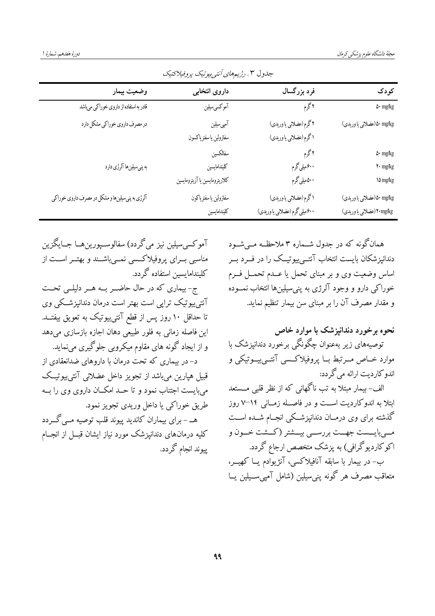| رز سنا پی سن برگ سنگ                                                  |                                                          |                                                            |                                                  |  |
|-----------------------------------------------------------------------|----------------------------------------------------------|------------------------------------------------------------|--------------------------------------------------|--|
| کودک                                                                  | فرد بزرگسال                                              | داروى انتخابى                                              | وضعيت بيمار                                      |  |
| $\Delta \cdot$ mg/kg                                                  | ۲گرم                                                     | آموكسىسيلين                                                | قادر به استفاده از داروی خوراکی میباشد           |  |
| ه/mg/kg(عضلانی یا وریدی)                                              | ۲ گرم (عضلانی یا وریدی)<br>۱ گرم (عضلانی یا وریدی)       | آمپیسیلین<br>سفازولين يا سفترياكسون                        | در مصرف داروی خوراکی مشکل دارد                   |  |
| $\Delta \cdot$ mg/kg<br>$\mathbf{Y}\cdot\mathbf{mg/kg}$<br>$\log\log$ | ۲گرم<br>۶۰۰میلیگرم<br>۵۰۰میلیگرم                         | سفالكسين<br>كليندامايسين<br>كلاريترومايسين يا آزيترومايسين | به پنیسیلینها آلرژی دارد                         |  |
| ۵۰ mg/kg(عضلانی یا وریدی)<br>۲۰mg/kg(عضلانی یا وریدی)                 | ۱ گرم (عضلانی یا وریدی)<br>۶۰۰ میلیگرم (عضلانی یا وریدی) | سفازولين ياسفترياكون<br>كليندامايسين                       | آلرژي به پني سيلينها و مشكل در مصرف داروي خوراكي |  |

جلهول ۳ . ن پیدهای آننه پیدنیک به وفیلا کتیک

همان گونه که در جدول شــماره ۳ ملاحظــه مــ شــود دندانیزشکان بایست انتخاب آنتے پیوتیــک را در فــرد بــر اساس وضعیت وی و بر مبنای تحمل یا عــدم تحمــل فــرم خوراکی دارو و وجود آلرژی به پنی سیلینها انتخاب نمــوده و مقدار مصرف آن را بر مبنای سن بیمار تنظیم نماید.

## نحوه برخورد دندانیزشک با موارد خاص توصیههای زیر بهعنوان چگونگی برخورد دندانیزشک با موارد خــاص مــرتبط بــا پروفيلاكــسى آنتــى پيــوتيكى و اندو کاردیت ارائه می گردد: الف- بیمار مبتلا به تب ناگهانی که از نظر قلبی مـــستعد

ابتلا به اندوکاردیت است و در فاصـله زمــانی ۱۴−۷ روز گذشته برای وی درمــان دندانپزشــکی انجــام شــده اســت مــيبايـــست جهــت بررســي بيـــشتر (كـــشت خــون و اکوکاردیوگرافی) به پزشک متخصص ارجاع گردد. ب- در بیمار با سابقه آنافیلاکسی، آنژیوادم یــا کهیـــر، متعاقب مصرف ہر گونه پنے سلین (شامل آمیے ســبلین پــا

آمو کسي سيلين نيز مي گردد) سفالوســيورين هــا جــايگزين مناسبی بسرای پروفیلاکسی نمسیباشسند و بهتسر اسست از كلىنداماىسىن استفاده گردد. ج-بیماری که در حال حاضـر بــه هــر دلیلــی تحــت آنتی پیوتیک تراپی است بهتر است درمان دندانیزشکی وی تا حداقل ۱۰ روز پس از قطع آنتی پیوتیک به تعویق بیفتــد. این فاصله زمانی به فلور طبیعی دهان اجازه بازسازی می دهد و از ایجاد گونه های مقاوم میکروبی جلوگیری مینماید. د- در بیماری که تحت درمان با داروهای ضدانعقادی از قبيل هيارين مي باشد از تجويز داخل عضلاني آنتي ٻيوتيــک می بایست اجتناب نمود و تا حــد امکــان داروی وی را بــه طريق خوراكي يا داخل وريدي تجويز نمود. ہے - برای بیماران کاندید پیوند قلب توصیه مے گے دد کلیه درمانهای دندانپزشک مورد نیاز ایشان قبــل از انجــام پیوند انجام گردد.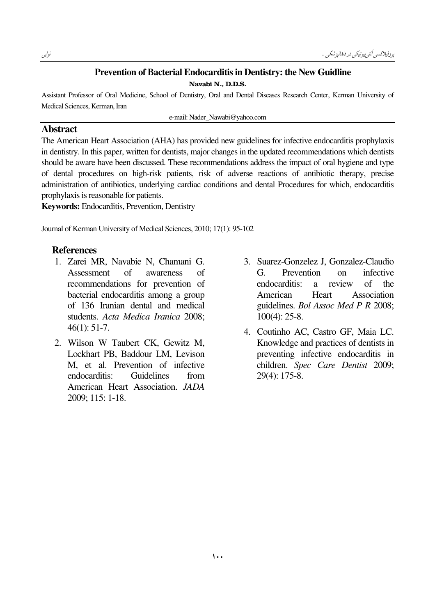#### Prevention of Bacterial Endocarditis in Dentistry: the New Guidline

Navabi N., D.D.S.

Assistant Professor of Oral Medicine, School of Dentistry, Oral and Dental Diseases Research Center, Kerman University of Medical Sciences, Kerman, Iran

e-mail: Nader\_Nawabi@yahoo.com

#### Abstract

The American Heart Association (AHA) has provided new guidelines for infective endocarditis prophylaxis in dentistry. In this paper, written for dentists, major changes in the updated recommendations which dentists should be aware have been discussed. These recommendations address the impact of oral hygiene and type of dental procedures on high-risk patients, risk of adverse reactions of antibiotic therapy, precise administration of antibiotics, underlying cardiac conditions and dental Procedures for which, endocarditis prophylaxis is reasonable for patients.

Keywords: Endocarditis, Prevention, Dentistry

Journal of Kerman University of Medical Sciences, 2010; 17(1): 95-102

#### References

- 1. Zarei MR, Navabie N, Chamani G. Assessment of awareness of recommendations for prevention of bacterial endocarditis among a group of 136 Iranian dental and medical students. Acta Medica Iranica 2008; 46(1): 51-7.
- 2. Wilson W Taubert CK, Gewitz M, Lockhart PB, Baddour LM, Levison M, et al. Prevention of infective endocarditis: Guidelines from American Heart Association. JADA 2009; 115: 1-18.
- 3. Suarez-Gonzelez J, Gonzalez-Claudio G. Prevention on infective endocarditis: a review of the American Heart Association guidelines. Bol Assoc Med P R 2008; 100(4): 25-8.
- 4. Coutinho AC, Castro GF, Maia LC. Knowledge and practices of dentists in preventing infective endocarditis in children. Spec Care Dentist 2009; 29(4): 175-8.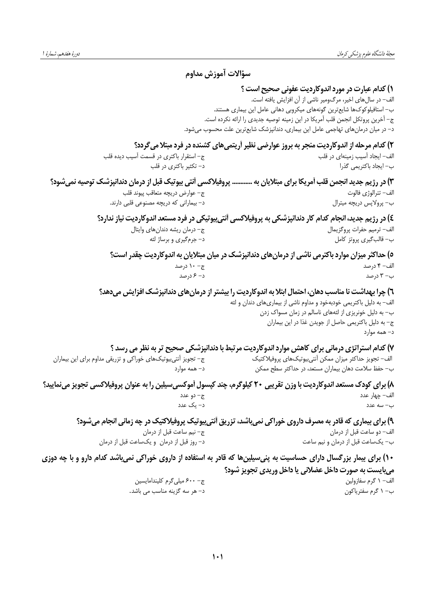### سؤالات آموزش مداوم

#### **۱) کدام عبارت در مورد اندوکاردیت عفونی صحیح است ؟**

الف- در سال های اخیر، مرگ ومیر ناشی از آن افزایش یافته است. ب– استافیلوکوکھا شایع ترین گونههای میکروبی دهانی عامل این بیماری هستند. ج– آخرین پروتکل انجمن قلب آمریکا در این زمینه توصیه جدیدی را ارائه نکرده است. د– در میان درمانهای تهاجمی عامل این بیماری، دندانپزشک شایعترین علت محسوب میشود.

۲) کدام مرحله از اندوکاردیت منجر به بروز عوارضی نظیر اَریتمیهای کشنده در فرد مبتلا میگردد؟

| ج- استقرار باكترى در قسمت أسيب ديده قلب                                                                          | ف- ایجاد آسیب زمینهای در قلب |
|------------------------------------------------------------------------------------------------------------------|------------------------------|
| د– تکثیر باکتری در قلب                                                                                           | ،– ایجاد باکتریمی گذرا       |
| ۱) در رژیم جدید انجمن قلب اَمریکا برای مبتلایان به  پروفیلاکسی اَنتی بیوتیک قبل از درمان دندانپزشک توصیه نمیشود؟ |                              |
| ج– عوارض دريچه متعاقب پيوند قلب                                                                                  | ف– تترالوژي فالوت            |
| د– بیمارانی که دریچه مصنوعی قلبی دارند.                                                                          | ے– پرولاپس دریچه میترال      |
|                                                                                                                  |                              |

٤) در رژیم جدید، انجام کدام کار دندانپزشکی به پروفیلاکسی اُنتی بیوتیکی در فرد مستعد اندوکاردیت نیاز ندارد؟ ج- درمان ريشه دندان هاى وايتال الف- ترميم حفرات پروگزيمال ب– قالب¢يري پروتز كامل د– جرمگیری و برساژ لثه

٥) حداکثر میزان موارد باکترمی ناشی از درمان های دندانپزشک در میان مبتلایان به اندوکاردیت چقدر است؟ ج- ١٠ درصد الف- ۴ درصد د– ۶ درصد ب- ۳ درصد

٦) چرا بهداشت نا مناسب دهان، احتمال ابتلا به اندوکاردیت را بیشتر از درمان های دندانیزشک افزایش می دهد؟

الف- به دلیل باکتریمی خودبهخود و مداوم ناشی از بیماریهای دندان و لثه ب- به دلیل خونریزی از لثههای ناسالم در زمان مسواک زدن ج- به دلیل باکتریمی حاصل از جویدن غذا در این بیماران د– همه موارد

ب- یکساعت قبل از درمان و نیم ساعت

۷) کدام استراتژی درمانی برای کاهش موارد اندوکاردیت مرتبط با دندانپزشکی صحیح تر به نظر می رسد ؟ ج– تجویز آنتیبیوتیکهای خوراکی و تزریقی مداوم برای این بیماران الف– تجويز حداكثر ميزان ممكن آنتىبيوتيكهاى پروفيلاكتيك ب- حفظ سلامت دهان بیماران مستعد، در حداکثر سطح ممکن د– همه موارد

۸) برای کودک مستعد اندوکاردیت با وزن تقریبی ۲۰ کیلوگرم، چند کپسول آموکسی سیلین را به عنوان پروفیلاکسی تجویز مینمایید؟ ج– دو عدد الف– چهار عدد د– یک عدد ب– سه عدد

۹) برای بیماری که قادر به مصرف داروی خوراکی نمیباشد، تزریق اَنتیبیوتیک پروفیلاکتیک در چه زمانی انجام میشود؟ ج- نيم ساعت قبل از درمان الف- دو ساعت قبل از درمان

د- روز قبل از درمان و یکساعت قبل از درمان

۱۰) برای بیمار بزرگسال دارای حساسیت به پنیسیلینها که قادر به استفاده از داروی خوراکی نمیباشد کدام دارو و با چه دوزی مي بايست به صورت داخل عضلاني يا داخل وريدي تجويز شود؟ ج- ۶۰۰ میلی گرم کلیندامایسین الف- ١ گرم سفازولين د– هر سه گزینه مناسب می باشد. ب– ۱ گرم سفتریاکون